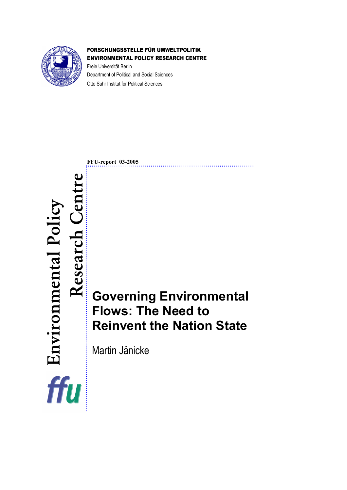

Environmental Policy

ffu

Environmental Policy

Research Centre

Research

### FORSCHUNGSSTELLE FÜR UMWELTPOLITIK ENVIRONMENTAL POLICY RESEARCH CENTRE

Freie Universität Berlin Department of Political and Social Sciences Otto Suhr Institut for Political Sciences

**FFU-report 03-2005** 

**Governing Environmental Flows: The Need to Reinvent the Nation State** 

Martin Jänicke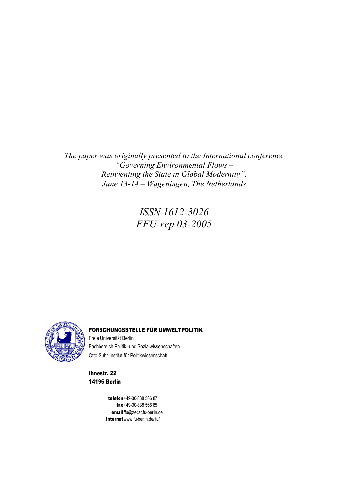*The paper was originally presented to the International conference "Governing Environmental Flows – Reinventing the State in Global Modernity", June 13-14 – Wageningen, The Netherlands.* 

> *ISSN 1612-3026 FFU-rep 03-2005*



#### FORSCHUNGSSTELLE FÜR UMWELTPOLITIK

Freie Universität Berlin Fachbereich Politik- und Sozialwissenschaften Otto-Suhr-Institut für Politikwissenschaft

Ihnestr. 22 14195 Berlin

> telefon +49-30-838 566 87 fax +49-30-838 566 85 email [ffu@zedat.fu-berlin.de](mailto:ffu@zedat.fu-berlin.de)  internet www.fu-berlin.de/ffu/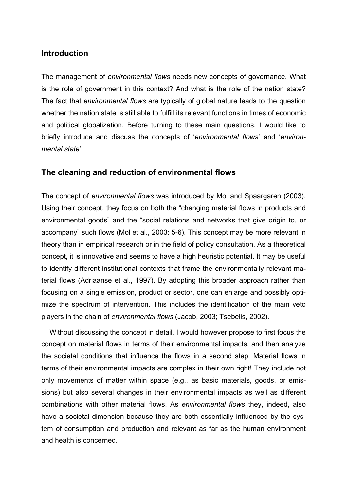## **Introduction**

The management of *environmental flows* needs new concepts of governance. What is the role of government in this context? And what is the role of the nation state? The fact that *environmental flows* are typically of global nature leads to the question whether the nation state is still able to fulfill its relevant functions in times of economic and political globalization. Before turning to these main questions, I would like to briefly introduce and discuss the concepts of '*environmental flows*' and '*environmental state*'.

# **The cleaning and reduction of environmental flows**

The concept of *environmental flows* was introduced by Mol and Spaargaren (2003). Using their concept, they focus on both the "changing material flows in products and environmental goods" and the "social relations and networks that give origin to, or accompany" such flows (Mol et al., 2003: 5-6). This concept may be more relevant in theory than in empirical research or in the field of policy consultation. As a theoretical concept, it is innovative and seems to have a high heuristic potential. It may be useful to identify different institutional contexts that frame the environmentally relevant material flows (Adriaanse et al., 1997). By adopting this broader approach rather than focusing on a single emission, product or sector, one can enlarge and possibly optimize the spectrum of intervention. This includes the identification of the main veto players in the chain of *environmental flows* (Jacob, 2003; Tsebelis, 2002).

 Without discussing the concept in detail, I would however propose to first focus the concept on material flows in terms of their environmental impacts, and then analyze the societal conditions that influence the flows in a second step. Material flows in terms of their environmental impacts are complex in their own right! They include not only movements of matter within space (e.g., as basic materials, goods, or emissions) but also several changes in their environmental impacts as well as different combinations with other material flows. As *environmental flows* they, indeed, also have a societal dimension because they are both essentially influenced by the system of consumption and production and relevant as far as the human environment and health is concerned.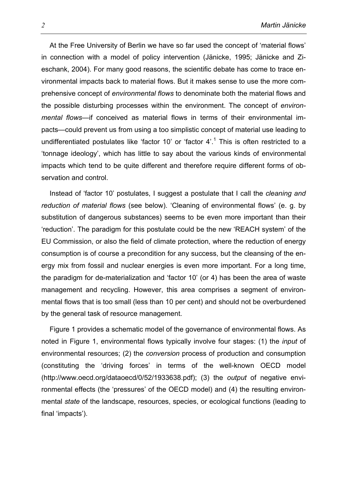At the Free University of Berlin we have so far used the concept of 'material flows' in connection with a model of policy intervention (Jänicke, 1995; Jänicke and Zieschank, 2004). For many good reasons, the scientific debate has come to trace environmental impacts back to material flows. But it makes sense to use the more comprehensive concept of *environmental flows* to denominate both the material flows and the possible disturbing processes within the environment. The concept of *environmental flows*—if conceived as material flows in terms of their environmental impacts—could prevent us from using a too simplistic concept of material use leading to undifferentiated postulates like 'factor 10' or 'factor  $4'.<sup>1</sup>$  This is often restricted to a 'tonnage ideology', which has little to say about the various kinds of environmental impacts which tend to be quite different and therefore require different forms of observation and control.

 Instead of 'factor 10' postulates, I suggest a postulate that I call the *cleaning and reduction of material flows* (see below). 'Cleaning of environmental flows' (e. g. by substitution of dangerous substances) seems to be even more important than their 'reduction'. The paradigm for this postulate could be the new 'REACH system' of the EU Commission, or also the field of climate protection, where the reduction of energy consumption is of course a precondition for any success, but the cleansing of the energy mix from fossil and nuclear energies is even more important. For a long time, the paradigm for de-materialization and 'factor 10' (or 4) has been the area of waste management and recycling. However, this area comprises a segment of environmental flows that is too small (less than 10 per cent) and should not be overburdened by the general task of resource management.

 Figure 1 provides a schematic model of the governance of environmental flows. As noted in Figure 1, environmental flows typically involve four stages: (1) the *input* of environmental resources; (2) the *conversion* process of production and consumption (constituting the 'driving forces' in terms of the well-known OECD model (http://www.oecd.org/dataoecd/0/52/1933638.pdf); (3) the *output* of negative environmental effects (the 'pressures' of the OECD model) and (4) the resulting environmental *state* of the landscape, resources, species, or ecological functions (leading to final 'impacts').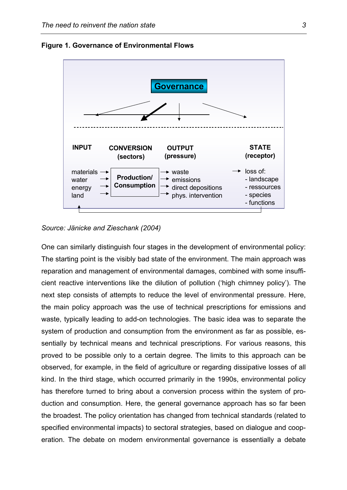

**Figure 1. Governance of Environmental Flows** 

*Source: Jänicke and Zieschank (2004)* 

One can similarly distinguish four stages in the development of environmental policy: The starting point is the visibly bad state of the environment. The main approach was reparation and management of environmental damages, combined with some insufficient reactive interventions like the dilution of pollution ('high chimney policy'). The next step consists of attempts to reduce the level of environmental pressure. Here, the main policy approach was the use of technical prescriptions for emissions and waste, typically leading to add-on technologies. The basic idea was to separate the system of production and consumption from the environment as far as possible, essentially by technical means and technical prescriptions. For various reasons, this proved to be possible only to a certain degree. The limits to this approach can be observed, for example, in the field of agriculture or regarding dissipative losses of all kind. In the third stage, which occurred primarily in the 1990s, environmental policy has therefore turned to bring about a conversion process within the system of production and consumption. Here, the general governance approach has so far been the broadest. The policy orientation has changed from technical standards (related to specified environmental impacts) to sectoral strategies, based on dialogue and cooperation. The debate on modern environmental governance is essentially a debate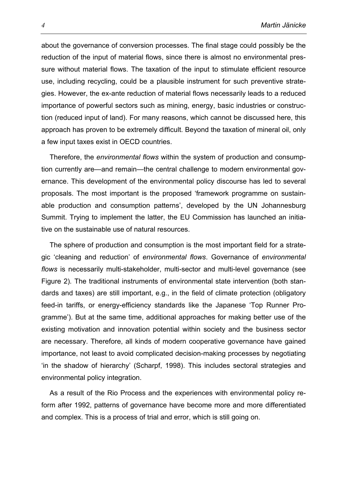about the governance of conversion processes. The final stage could possibly be the reduction of the input of material flows, since there is almost no environmental pressure without material flows. The taxation of the input to stimulate efficient resource use, including recycling, could be a plausible instrument for such preventive strategies. However, the ex-ante reduction of material flows necessarily leads to a reduced importance of powerful sectors such as mining, energy, basic industries or construction (reduced input of land). For many reasons, which cannot be discussed here, this approach has proven to be extremely difficult. Beyond the taxation of mineral oil, only a few input taxes exist in OECD countries.

 Therefore, the *environmental flows* within the system of production and consumption currently are—and remain—the central challenge to modern environmental governance. This development of the environmental policy discourse has led to several proposals. The most important is the proposed 'framework programme on sustainable production and consumption patterns', developed by the UN Johannesburg Summit. Trying to implement the latter, the EU Commission has launched an initiative on the sustainable use of natural resources.

 The sphere of production and consumption is the most important field for a strategic 'cleaning and reduction' of *environmental flows*. Governance of *environmental flows* is necessarily multi-stakeholder, multi-sector and multi-level governance (see Figure 2)*.* The traditional instruments of environmental state intervention (both standards and taxes) are still important, e.g., in the field of climate protection (obligatory feed-in tariffs, or energy-efficiency standards like the Japanese 'Top Runner Programme'). But at the same time, additional approaches for making better use of the existing motivation and innovation potential within society and the business sector are necessary. Therefore, all kinds of modern cooperative governance have gained importance, not least to avoid complicated decision-making processes by negotiating 'in the shadow of hierarchy' (Scharpf, 1998). This includes sectoral strategies and environmental policy integration.

 As a result of the Rio Process and the experiences with environmental policy reform after 1992, patterns of governance have become more and more differentiated and complex. This is a process of trial and error, which is still going on.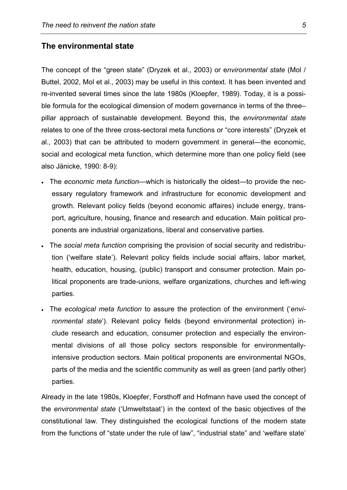#### **The environmental state**

The concept of the "green state" (Dryzek et al., 2003) or e*nvironmental state* (Mol / Buttel, 2002, Mol et al., 2003) may be useful in this context. It has been invented and re-invented several times since the late 1980s (Kloepfer, 1989). Today, it is a possible formula for the ecological dimension of modern governance in terms of the three– pillar approach of sustainable development. Beyond this, the *environmental state* relates to one of the three cross-sectoral meta functions or "core interests" (Dryzek et al., 2003) that can be attributed to modern government in general—the economic, social and ecological meta function, which determine more than one policy field (see also Jänicke, 1990: 8-9):

- The *economic meta function*—which is historically the oldest—to provide the necessary regulatory framework and infrastructure for economic development and growth. Relevant policy fields (beyond economic affaires) include energy, transport, agriculture, housing, finance and research and education. Main political proponents are industrial organizations, liberal and conservative parties.
- The *social meta function* comprising the provision of social security and redistribution ('welfare state'). Relevant policy fields include social affairs, labor market, health, education, housing, (public) transport and consumer protection. Main political proponents are trade-unions, welfare organizations, churches and left-wing parties.
- The *ecological meta function* to assure the protection of the environment ('*environmental state*'). Relevant policy fields (beyond environmental protection) include research and education, consumer protection and especially the environmental divisions of all those policy sectors responsible for environmentallyintensive production sectors. Main political proponents are environmental NGOs, parts of the media and the scientific community as well as green (and partly other) parties.

Already in the late 1980s, Kloepfer, Forsthoff and Hofmann have used the concept of the *environmental state* ('Umweltstaat') in the context of the basic objectives of the constitutional law. They distinguished the ecological functions of the modern state from the functions of "state under the rule of law", "industrial state" and 'welfare state'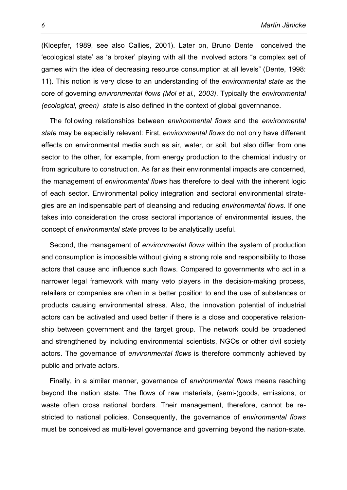(Kloepfer, 1989, see also Callies, 2001). Later on, Bruno Dente conceived the 'ecological state' as 'a broker' playing with all the involved actors "a complex set of games with the idea of decreasing resource consumption at all levels" (Dente, 1998: 11). This notion is very close to an understanding of the *environmental state* as the core of governing *environmental flows (Mol et al., 2003)*. Typically the *environmental (ecological, green) state* is also defined in the context of global governnance.

 The following relationships between *environmental flows* and the *environmental state* may be especially relevant: First, e*nvironmental flows* do not only have different effects on environmental media such as air, water, or soil, but also differ from one sector to the other, for example, from energy production to the chemical industry or from agriculture to construction. As far as their environmental impacts are concerned, the management of *environmental flows* has therefore to deal with the inherent logic of each sector. Environmental policy integration and sectoral environmental strategies are an indispensable part of cleansing and reducing *environmental flows*. If one takes into consideration the cross sectoral importance of environmental issues, the concept of *environmental state* proves to be analytically useful.

 Second, the management of *environmental flows* within the system of production and consumption is impossible without giving a strong role and responsibility to those actors that cause and influence such flows. Compared to governments who act in a narrower legal framework with many veto players in the decision-making process, retailers or companies are often in a better position to end the use of substances or products causing environmental stress. Also, the innovation potential of industrial actors can be activated and used better if there is a close and cooperative relationship between government and the target group. The network could be broadened and strengthened by including environmental scientists, NGOs or other civil society actors. The governance of *environmental flows* is therefore commonly achieved by public and private actors.

 Finally, in a similar manner, governance of *environmental flows* means reaching beyond the nation state. The flows of raw materials, (semi-)goods, emissions, or waste often cross national borders. Their management, therefore, cannot be restricted to national policies. Consequently, the governance of *environmental flows* must be conceived as multi-level governance and governing beyond the nation-state.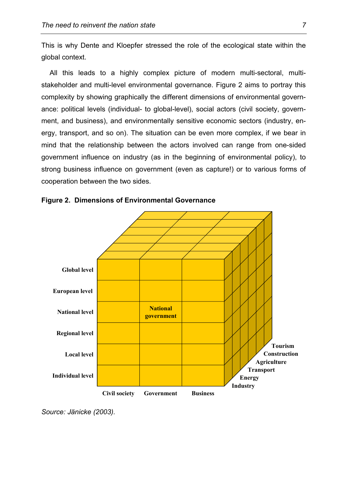This is why Dente and Kloepfer stressed the role of the ecological state within the global context.

 All this leads to a highly complex picture of modern multi-sectoral, multistakeholder and multi-level environmental governance. Figure 2 aims to portray this complexity by showing graphically the different dimensions of environmental governance: political levels (individual- to global-level), social actors (civil society, government, and business), and environmentally sensitive economic sectors (industry, energy, transport, and so on). The situation can be even more complex, if we bear in mind that the relationship between the actors involved can range from one-sided government influence on industry (as in the beginning of environmental policy), to strong business influence on government (even as capture!) or to various forms of cooperation between the two sides.





*Source: Jänicke (2003).*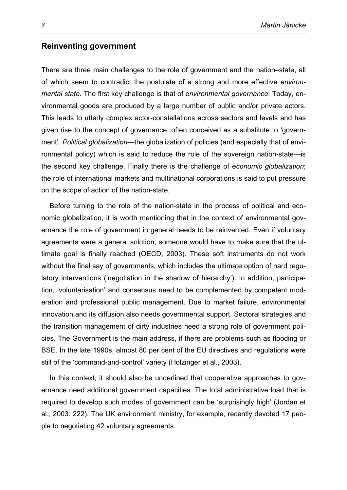### **Reinventing government**

There are three main challenges to the role of government and the nation–state, all of which seem to contradict the postulate of a strong and more effective *environmental state*. The first key challenge is that of e*nvironmental governance*: Today, environmental goods are produced by a large number of public and/or private actors. This leads to utterly complex actor-constellations across sectors and levels and has given rise to the concept of governance, often conceived as a substitute to 'government'. *Political globalization*—the globalization of policies (and especially that of environmental policy) which is said to reduce the role of the sovereign nation-state—is the second key challenge. Finally there is the challenge of e*conomic globalization*; the role of international markets and multinational corporations is said to put pressure on the scope of action of the nation-state.

 Before turning to the role of the nation-state in the process of political and economic globalization, it is worth mentioning that in the context of environmental governance the role of government in general needs to be reinvented. Even if voluntary agreements were a general solution, someone would have to make sure that the ultimate goal is finally reached (OECD, 2003). These soft instruments do not work without the final say of governments, which includes the ultimate option of hard regulatory interventions ('negotiation in the shadow of hierarchy'). In addition, participation, 'voluntarisation' and consensus need to be complemented by competent moderation and professional public management. Due to market failure, environmental innovation and its diffusion also needs governmental support. Sectoral strategies and the transition management of dirty industries need a strong role of government policies. The Government is the main address, if there are problems such as flooding or BSE. In the late 1990s, almost 80 per cent of the EU directives and regulations were still of the 'command-and-control' variety (Holzinger et al., 2003).

 In this context, it should also be underlined that cooperative approaches to governance need additional government capacities. The total administrative load that is required to develop such modes of government can be 'surprisingly high' (Jordan et al., 2003: 222). The UK environment ministry, for example, recently devoted 17 people to negotiating 42 voluntary agreements.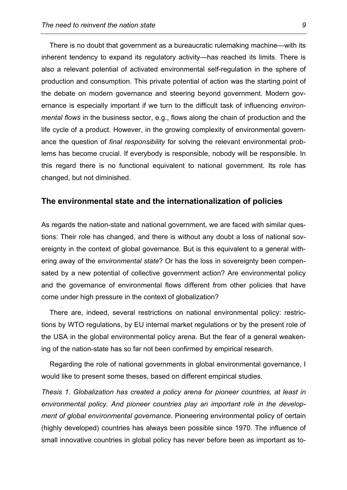There is no doubt that government as a bureaucratic rulemaking machine—with its inherent tendency to expand its regulatory activity—has reached its limits. There is also a relevant potential of activated environmental self-regulation in the sphere of production and consumption. This private potential of action was the starting point of the debate on modern governance and steering beyond government. Modern governance is especially important if we turn to the difficult task of influencing *environmental flows* in the business sector, e.g., flows along the chain of production and the life cycle of a product. However, in the growing complexity of environmental governance the question of *final responsibility* for solving the relevant environmental problems has become crucial. If everybody is responsible, nobody will be responsible. In this regard there is no functional equivalent to national government. Its role has changed, but not diminished.

### **The environmental state and the internationalization of policies**

As regards the nation-state and national government, we are faced with similar questions: Their role has changed, and there is without any doubt a loss of national sovereignty in the context of global governance. But is this equivalent to a general withering away of the *environmental state*? Or has the loss in sovereignty been compensated by a new potential of collective government action? Are environmental policy and the governance of environmental flows different from other policies that have come under high pressure in the context of globalization?

 There are, indeed, several restrictions on national environmental policy: restrictions by WTO regulations, by EU internal market regulations or by the present role of the USA in the global environmental policy arena. But the fear of a general weakening of the nation-state has so far not been confirmed by empirical research.

 Regarding the role of national governments in global environmental governance, I would like to present some theses, based on different empirical studies.

*Thesis 1. Globalization has created a policy arena for pioneer countries, at least in environmental policy. And pioneer countries play an important role in the development of global environmental governance*. Pioneering environmental policy of certain (highly developed) countries has always been possible since 1970. The influence of small innovative countries in global policy has never before been as important as to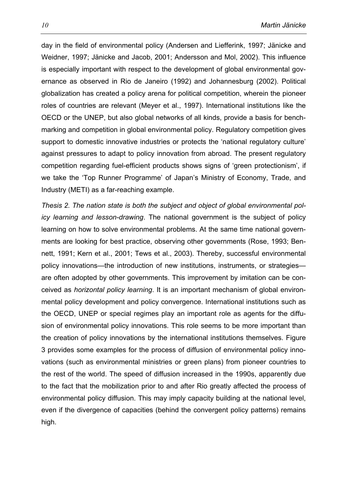day in the field of environmental policy (Andersen and Liefferink, 1997; Jänicke and Weidner, 1997; Jänicke and Jacob, 2001; Andersson and Mol, 2002). This influence is especially important with respect to the development of global environmental governance as observed in Rio de Janeiro (1992) and Johannesburg (2002). Political globalization has created a policy arena for political competition, wherein the pioneer roles of countries are relevant (Meyer et al., 1997). International institutions like the OECD or the UNEP, but also global networks of all kinds, provide a basis for benchmarking and competition in global environmental policy. Regulatory competition gives support to domestic innovative industries or protects the 'national regulatory culture' against pressures to adapt to policy innovation from abroad. The present regulatory competition regarding fuel-efficient products shows signs of 'green protectionism', if we take the 'Top Runner Programme' of Japan's Ministry of Economy, Trade, and Industry (METI) as a far-reaching example.

*Thesis 2. The nation state is both the subject and object of global environmental policy learning and lesson-drawing*. The national government is the subject of policy learning on how to solve environmental problems. At the same time national governments are looking for best practice, observing other governments (Rose, 1993; Bennett, 1991; Kern et al., 2001; Tews et al., 2003). Thereby, successful environmental policy innovations—the introduction of new institutions, instruments, or strategies are often adopted by other governments. This improvement by imitation can be conceived as *horizontal policy learning*. It is an important mechanism of global environmental policy development and policy convergence. International institutions such as the OECD, UNEP or special regimes play an important role as agents for the diffusion of environmental policy innovations. This role seems to be more important than the creation of policy innovations by the international institutions themselves. Figure 3 provides some examples for the process of diffusion of environmental policy innovations (such as environmental ministries or green plans) from pioneer countries to the rest of the world. The speed of diffusion increased in the 1990s, apparently due to the fact that the mobilization prior to and after Rio greatly affected the process of environmental policy diffusion. This may imply capacity building at the national level, even if the divergence of capacities (behind the convergent policy patterns) remains high.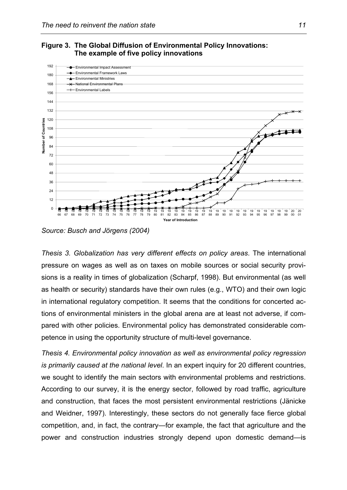



*Source: Busch and Jörgens (2004)* 

*Thesis 3. Globalization has very different effects on policy areas*. The international pressure on wages as well as on taxes on mobile sources or social security provisions is a reality in times of globalization (Scharpf, 1998). But environmental (as well as health or security) standards have their own rules (e.g., WTO) and their own logic in international regulatory competition. It seems that the conditions for concerted actions of environmental ministers in the global arena are at least not adverse, if compared with other policies. Environmental policy has demonstrated considerable competence in using the opportunity structure of multi-level governance.

*Thesis 4. Environmental policy innovation as well as environmental policy regression is primarily caused at the national level*. In an expert inquiry for 20 different countries, we sought to identify the main sectors with environmental problems and restrictions. According to our survey, it is the energy sector, followed by road traffic, agriculture and construction, that faces the most persistent environmental restrictions (Jänicke and Weidner, 1997). Interestingly, these sectors do not generally face fierce global competition, and, in fact, the contrary—for example, the fact that agriculture and the power and construction industries strongly depend upon domestic demand—is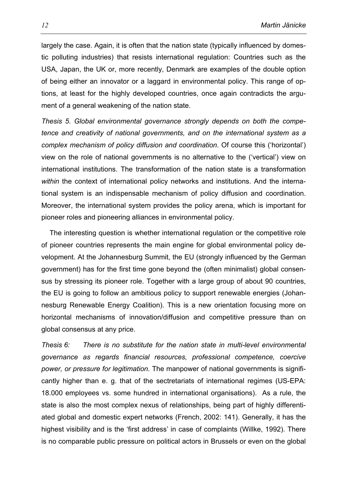largely the case. Again, it is often that the nation state (typically influenced by domestic polluting industries) that resists international regulation: Countries such as the USA, Japan, the UK or, more recently, Denmark are examples of the double option of being either an innovator or a laggard in environmental policy. This range of options, at least for the highly developed countries, once again contradicts the argument of a general weakening of the nation state.

*Thesis 5. Global environmental governance strongly depends on both the competence and creativity of national governments, and on the international system as a complex mechanism of policy diffusion and coordination*. Of course this ('horizontal') view on the role of national governments is no alternative to the ('vertical') view on international institutions. The transformation of the nation state is a transformation *within* the context of international policy networks and institutions. And the international system is an indispensable mechanism of policy diffusion and coordination. Moreover, the international system provides the policy arena, which is important for pioneer roles and pioneering alliances in environmental policy.

 The interesting question is whether international regulation or the competitive role of pioneer countries represents the main engine for global environmental policy development. At the Johannesburg Summit, the EU (strongly influenced by the German government) has for the first time gone beyond the (often minimalist) global consensus by stressing its pioneer role. Together with a large group of about 90 countries, the EU is going to follow an ambitious policy to support renewable energies (Johannesburg Renewable Energy Coalition). This is a new orientation focusing more on horizontal mechanisms of innovation/diffusion and competitive pressure than on global consensus at any price.

*Thesis 6: There is no substitute for the nation state in multi-level environmental governance as regards financial resources, professional competence, coercive power, or pressure for legitimation.* The manpower of national governments is significantly higher than e. g. that of the sectretariats of international regimes (US-EPA: 18.000 employees vs. some hundred in international organisations). As a rule, the state is also the most complex nexus of relationships, being part of highly differentiated global and domestic expert networks (French, 2002: 141). Generally, it has the highest visibility and is the 'first address' in case of complaints (Willke, 1992). There is no comparable public pressure on political actors in Brussels or even on the global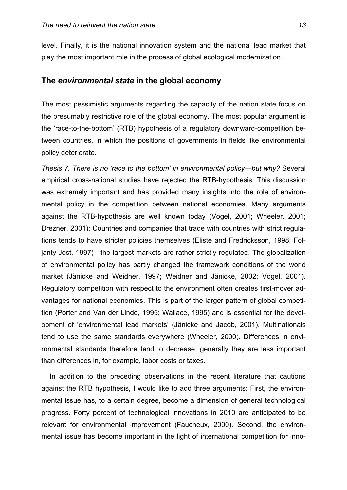level. Finally, it is the national innovation system and the national lead market that play the most important role in the process of global ecological modernization.

## **The** *environmental state* **in the global economy**

The most pessimistic arguments regarding the capacity of the nation state focus on the presumably restrictive role of the global economy. The most popular argument is the 'race-to-the-bottom' (RTB) hypothesis of a regulatory downward-competition between countries, in which the positions of governments in fields like environmental policy deteriorate.

*Thesis 7. There is no 'race to the bottom' in environmental policy—but why?* Several empirical cross-national studies have rejected the RTB-hypothesis. This discussion was extremely important and has provided many insights into the role of environmental policy in the competition between national economies. Many arguments against the RTB-hypothesis are well known today (Vogel, 2001; Wheeler, 2001; Drezner, 2001): Countries and companies that trade with countries with strict regulations tends to have stricter policies themselves (Eliste and Fredricksson, 1998; Foljanty-Jost, 1997)—the largest markets are rather strictly regulated. The globalization of environmental policy has partly changed the framework conditions of the world market (Jänicke and Weidner, 1997; Weidner and Jänicke, 2002; Vogel, 2001). Regulatory competition with respect to the environment often creates first-mover advantages for national economies. This is part of the larger pattern of global competition (Porter and Van der Linde, 1995; Wallace, 1995) and is essential for the development of 'environmental lead markets' (Jänicke and Jacob, 2001). Multinationals tend to use the same standards everywhere (Wheeler, 2000). Differences in environmental standards therefore tend to decrease; generally they are less important than differences in, for example, labor costs or taxes.

 In addition to the preceding observations in the recent literature that cautions against the RTB hypothesis, I would like to add three arguments: First, the environmental issue has, to a certain degree, become a dimension of general technological progress. Forty percent of technological innovations in 2010 are anticipated to be relevant for environmental improvement (Faucheux, 2000). Second, the environmental issue has become important in the light of international competition for inno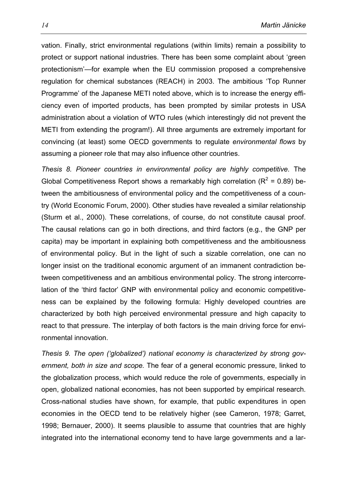vation. Finally, strict environmental regulations (within limits) remain a possibility to protect or support national industries. There has been some complaint about 'green protectionism'—for example when the EU commission proposed a comprehensive regulation for chemical substances (REACH) in 2003. The ambitious 'Top Runner Programme' of the Japanese METI noted above, which is to increase the energy efficiency even of imported products, has been prompted by similar protests in USA administration about a violation of WTO rules (which interestingly did not prevent the METI from extending the program!). All three arguments are extremely important for convincing (at least) some OECD governments to regulate *environmental flows* by assuming a pioneer role that may also influence other countries.

*Thesis 8. Pioneer countries in environmental policy are highly competitive.* The Global Competitiveness Report shows a remarkably high correlation ( $R^2$  = 0.89) between the ambitiousness of environmental policy and the competitiveness of a country (World Economic Forum, 2000). Other studies have revealed a similar relationship (Sturm et al., 2000). These correlations, of course, do not constitute causal proof. The causal relations can go in both directions, and third factors (e.g., the GNP per capita) may be important in explaining both competitiveness and the ambitiousness of environmental policy. But in the light of such a sizable correlation, one can no longer insist on the traditional economic argument of an immanent contradiction between competitiveness and an ambitious environmental policy. The strong intercorrelation of the 'third factor' GNP with environmental policy and economic competitiveness can be explained by the following formula: Highly developed countries are characterized by both high perceived environmental pressure and high capacity to react to that pressure. The interplay of both factors is the main driving force for environmental innovation.

*Thesis 9. The open ('globalized') national economy is characterized by strong government, both in size and scope.* The fear of a general economic pressure, linked to the globalization process, which would reduce the role of governments, especially in open, globalized national economies, has not been supported by empirical research. Cross-national studies have shown, for example, that public expenditures in open economies in the OECD tend to be relatively higher (see Cameron, 1978; Garret, 1998; Bernauer, 2000). It seems plausible to assume that countries that are highly integrated into the international economy tend to have large governments and a lar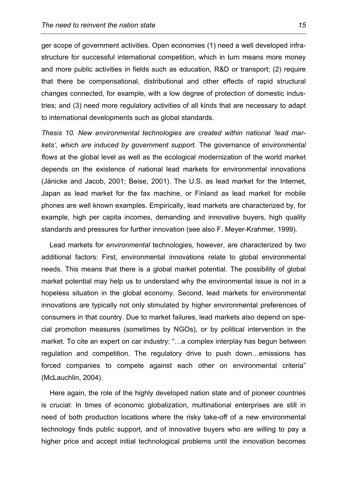ger scope of government activities. Open economies (1) need a well developed infrastructure for successful international competition, which in turn means more money and more public activities in fields such as education, R&D or transport; (2) require that there be compensational, distributional and other effects of rapid structural changes connected, for example, with a low degree of protection of domestic industries; and (3) need more regulatory activities of all kinds that are necessary to adapt to international developments such as global standards.

*Thesis 10. New environmental technologies are created within national 'lead markets', which are induced by government support.* The governance of *environmental flows* at the global level as well as the ecological modernization of the world market depends on the existence of national lead markets for environmental innovations (Jänicke and Jacob, 2001; Beise, 2001). The U.S. as lead market for the Internet, Japan as lead market for the fax machine, or Finland as lead market for mobile phones are well known examples. Empirically, lead markets are characterized by, for example, high per capita incomes, demanding and innovative buyers, high quality standards and pressures for further innovation (see also F. Meyer-Krahmer, 1999).

 Lead markets for *environmental* technologies, however, are characterized by two additional factors: First, environmental innovations relate to global environmental needs. This means that there is a global market potential. The possibility of global market potential may help us to understand why the environmental issue is not in a hopeless situation in the global economy. Second, lead markets for environmental innovations are typically not only stimulated by higher environmental preferences of consumers in that country. Due to market failures, lead markets also depend on special promotion measures (sometimes by NGOs), or by political intervention in the market. To cite an expert on car industry: "…a complex interplay has begun between regulation and competition. The regulatory drive to push down…emissions has forced companies to compete against each other on environmental criteria" (McLauchlin, 2004).

 Here again, the role of the highly developed nation state and of pioneer countries is crucial: In times of economic globalization, multinational enterprises are still in need of both production locations where the risky take-off of a new environmental technology finds public support, and of innovative buyers who are willing to pay a higher price and accept initial technological problems until the innovation becomes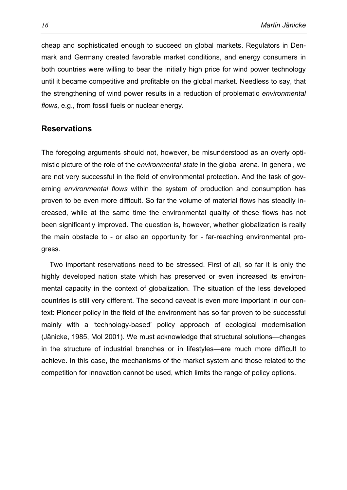cheap and sophisticated enough to succeed on global markets. Regulators in Denmark and Germany created favorable market conditions, and energy consumers in both countries were willing to bear the initially high price for wind power technology until it became competitive and profitable on the global market. Needless to say, that the strengthening of wind power results in a reduction of problematic *environmental flows*, e.g., from fossil fuels or nuclear energy.

## **Reservations**

The foregoing arguments should not, however, be misunderstood as an overly optimistic picture of the role of the e*nvironmental state* in the global arena. In general, we are not very successful in the field of environmental protection. And the task of governing *environmental flows* within the system of production and consumption has proven to be even more difficult. So far the volume of material flows has steadily increased, while at the same time the environmental quality of these flows has not been significantly improved. The question is, however, whether globalization is really the main obstacle to - or also an opportunity for - far-reaching environmental progress.

 Two important reservations need to be stressed. First of all, so far it is only the highly developed nation state which has preserved or even increased its environmental capacity in the context of globalization. The situation of the less developed countries is still very different. The second caveat is even more important in our context: Pioneer policy in the field of the environment has so far proven to be successful mainly with a 'technology-based' policy approach of ecological modernisation (Jänicke, 1985, Mol 2001). We must acknowledge that structural solutions—changes in the structure of industrial branches or in lifestyles—are much more difficult to achieve. In this case, the mechanisms of the market system and those related to the competition for innovation cannot be used, which limits the range of policy options.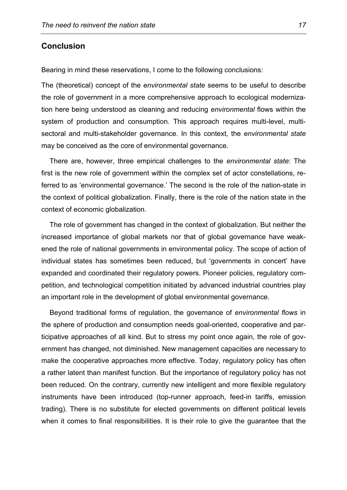### **Conclusion**

Bearing in mind these reservations, I come to the following conclusions:

The (theoretical) concept of the e*nvironmental state* seems to be useful to describe the role of government in a more comprehensive approach to ecological modernization here being understood as cleaning and reducing *environmental* flows within the system of production and consumption. This approach requires multi-level, multisectoral and multi-stakeholder governance. In this context, the *environmental state* may be conceived as the core of environmental governance.

 There are, however, three empirical challenges to the *environmental state*: The first is the new role of government within the complex set of actor constellations, referred to as 'environmental governance.' The second is the role of the nation-state in the context of political globalization. Finally, there is the role of the nation state in the context of economic globalization.

 The role of government has changed in the context of globalization. But neither the increased importance of global markets nor that of global governance have weakened the role of national governments in environmental policy. The scope of action of individual states has sometimes been reduced, but 'governments in concert' have expanded and coordinated their regulatory powers. Pioneer policies, regulatory competition, and technological competition initiated by advanced industrial countries play an important role in the development of global environmental governance.

 Beyond traditional forms of regulation, the governance of *environmental flows* in the sphere of production and consumption needs goal-oriented, cooperative and participative approaches of all kind. But to stress my point once again, the role of government has changed, not diminished. New management capacities are necessary to make the cooperative approaches more effective. Today, regulatory policy has often a rather latent than manifest function. But the importance of regulatory policy has not been reduced. On the contrary, currently new intelligent and more flexible regulatory instruments have been introduced (top-runner approach, feed-in tariffs, emission trading). There is no substitute for elected governments on different political levels when it comes to final responsibilities. It is their role to give the guarantee that the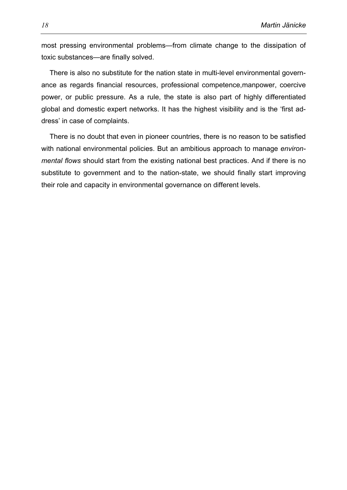most pressing environmental problems—from climate change to the dissipation of toxic substances—are finally solved.

 There is also no substitute for the nation state in multi-level environmental governance as regards financial resources, professional competence,manpower, coercive power, or public pressure. As a rule, the state is also part of highly differentiated global and domestic expert networks. It has the highest visibility and is the 'first address' in case of complaints.

 There is no doubt that even in pioneer countries, there is no reason to be satisfied with national environmental policies. But an ambitious approach to manage *environmental flows* should start from the existing national best practices. And if there is no substitute to government and to the nation-state, we should finally start improving their role and capacity in environmental governance on different levels.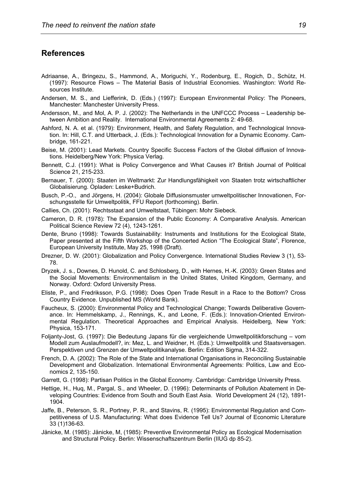#### **References**

- Adriaanse, A., Bringezu, S., Hammond, A., Moriguchi, Y., Rodenburg, E., Rogich, D., Schütz, H. (1997): Resource Flows – The Material Basis of Industrial Economies. Washington: World Resources Institute.
- Andersen, M. S., and Liefferink, D. (Eds.) (1997): European Environmental Policy: The Pioneers, Manchester: Manchester University Press.
- Andersson, M., and Mol, A. P. J. (2002): The Netherlands in the UNFCCC Process Leadership between Ambition and Reality. International Environmental Agreements 2: 49-68.
- Ashford, N. A. et al. (1979): Environment, Health, and Safety Regulation, and Technological Innovation. In: Hill, C.T. and Utterback, J. (Eds.): Technological Innovation for a Dynamic Economy. Cambridge, 161-221.
- Beise, M. (2001): Lead Markets. Country Specific Success Factors of the Global diffusion of Innovations. Heidelberg/New York: Physica Verlag.
- Bennett, C.J. (1991): What is Policy Convergence and What Causes it? British Journal of Political Science 21, 215-233.
- Bernauer, T. (2000): Staaten im Weltmarkt: Zur Handlungsfähigkeit von Staaten trotz wirtschaftlicher Globalisierung. Opladen: Leske+Budrich.
- Busch, P.-O., and Jörgens, H. (2004): Globale Diffusionsmuster umweltpolitischer Innovationen, Forschungsstelle für Umweltpolitik, FFU Report (forthcoming). Berlin.
- Callies, Ch. (2001): Rechtsstaat and Umweltstaat, Tübingen: Mohr Siebeck.
- Cameron, D. R. (1978): The Expansion of the Public Economy: A Comparative Analysis. American Political Science Review 72 (4), 1243-1261.
- Dente, Bruno (1998): Towards Sustainability: Instruments and Institutions for the Ecological State, Paper presented at the Fifth Workshop of the Concerted Action "The Ecological State", Florence, European University Institute, May 25, 1998 (Draft).
- Drezner, D. W. (2001): Globalization and Policy Convergence. International Studies Review 3 (1), 53- 78.
- Dryzek, J. s., Downes, D. Hunold, C. and Schlosberg, D., with Hernes, H.-K. (2003): Green States and the Social Movements: Environmentalism in the United States, United Kingdom, Germany, and Norway. Oxford: Oxford University Press.
- Eliste, P., and Fredriksson, P.G. (1998): Does Open Trade Result in a Race to the Bottom? Cross Country Evidence. Unpublished MS (World Bank).
- Faucheux, S. (2000): Environmental Policy and Technological Change; Towards Deliberative Governance. In: Hemmelskamp, J., Rennings, K., and Leone, F. (Eds.): Innovation-Oriented Environmental Regulation. Theoretical Approaches and Empirical Analysis. Heidelberg, New York: Physica, 153-171.
- Foljanty-Jost, G. (1997): Die Bedeutung Japans für die vergleichende Umweltpolitikforschung vom Modell zum Auslaufmodell?, in: Mez, L. and Weidner, H. (Eds.): Umweltpolitik und Staatsversagen. Perspektiven und Grenzen der Umweltpolitikanalyse. Berlin: Edition Sigma, 314-322.
- French, D. A. (2002): The Role of the State and International Organisations in Reconciling Sustainable Development and Globalization. International Environmental Agreements: Politics, Law and Economics 2, 135-150.
- Garrett, G. (1998): Partisan Politics in the Global Economy. Cambridge: Cambridge University Press.
- Hettige, H., Huq, M., Pargal, S., and Wheeler, D. (1996): Determinants of Pollution Abatement in Developing Countries: Evidence from South and South East Asia. World Development 24 (12), 1891- 1904.
- Jaffe, B., Peterson, S. R., Portney, P. R., and Stavins, R. (1995): Environmental Regulation and Competitiveness of U.S. Manufacturing: What does Evidence Tell Us? Journal of Economic Literature 33 (1)136-63.
- Jänicke, M. (1985): Jänicke, M, (1985): Preventive Environmental Policy as Ecological Modernisation and Structural Policy. Berlin: Wissenschaftszentrum Berlin (IIUG dp 85-2).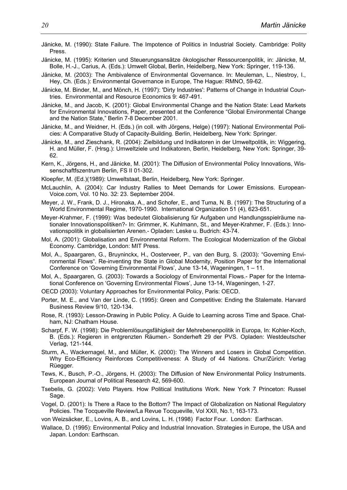- Jänicke, M. (1990): State Failure. The Impotence of Politics in Industrial Society. Cambridge: Polity Press.
- Jänicke, M. (1995): Kriterien und Steuerungsansätze ökologischer Ressourcenpolitik, in: Jänicke, M, Bolle, H.-J., Carius, A. (Eds.): Umwelt Global, Berlin, Heidelberg, New York: Springer, 119-136.
- Jänicke, M. (2003): The Ambivalence of Environmental Governance. In: Meuleman, L., Niestroy, I., Hey, Ch. (Eds.): Environmental Governance in Europe, The Hague: RMNO, 59-62.
- Jänicke, M. Binder, M., and Mönch, H. (1997): 'Dirty Industries': Patterns of Change in Industrial Countries. Environmental and Resource Economics 9: 467-491.
- Jänicke, M., and Jacob, K. (2001): Global Environmental Change and the Nation State: Lead Markets for Environmental Innovations, Paper, presented at the Conference "Global Environmental Change and the Nation State," Berlin 7-8 December 2001.
- Jänicke, M., and Weidner, H. (Eds.) (in coll. with Jörgens, Helge) (1997): National Environmental Policies: A Comparative Study of Capacity-Building. Berlin, Heidelberg, New York: Springer.
- Jänicke, M., and Zieschank, R. (2004): Zielbildung und Indikatoren in der Umweltpolitik, in: Wiggering, H. and Müller, F. (Hrsg.): Umweltziele und Indikatoren, Berlin, Heidelberg, New York: Springer, 39- 62.
- Kern, K., Jörgens, H., and Jänicke, M. (2001): The Diffusion of Environmental Policy Innovations, Wissenschaftfszentrum Berlin, FS II 01-302.
- Kloepfer, M. (Ed.)(1989): Umweltstaat, Berlin, Heidelberg, New York: Springer.
- McLauchlin, A. (2004): Car Industry Rallies to Meet Demands for Lower Emissions. European-Voice.com, Vol. 10 No. 32: 23. September 2004.
- Meyer, J. W., Frank, D. J., Hironaka, A., and Schofer, E., and Tuma, N. B. (1997): The Structuring of a World Environmental Regime, 1970-1990. International Organization 51 (4), 623-651.
- Meyer -Krahmer, F. (1999): Was bedeutet Globalisierung für Aufgaben und Handlungsspielräume nationaler Innovationspolitiken?- In: Grimmer, K. Kuhlmann, St., and Meyer-Krahmer, F. (Eds.): Innovationspolitik in globalisierten Arenen.- Opladen: Leske u. Budrich: 43-74.
- Mol, A. (2001): Globalisation and Environmental Reform. The Ecological Modernization of the Global Economy. Cambridge, London: MIT Press.
- Mol, A., Spaargaren, G., Bruyninckx, H., Oosterveer, P., van den Burg, S. (2003): "Governing Environmental Flows". Re-inventing the State in Global Modernity, Position Paper for the International Conference on 'Governing Environmental Flows', June 13-14, Wageningen, 1 – 11.
- Mol, A., Spaargaren, G. (2003): Towards a Sociology of Environmental Flows.- Paper for the International Conference on 'Governing Environmental Flows', June 13-14, Wageningen, 1-27.
- OECD (2003): Voluntary Approaches for Environmental Policy, Paris: OECD.
- Porter, M. E., and Van der Linde, C. (1995): Green and Competitive: Ending the Stalemate. Harvard Business Review 9/10, 120-134.
- Rose, R. (1993): Lesson-Drawing in Public Policy. A Guide to Learning across Time and Space. Chatham, NJ: Chatham House.
- Scharpf, F. W. (1998): Die Problemlösungsfähigkeit der Mehrebenenpolitik in Europa, In: Kohler-Koch, B. (Eds.): Regieren in entgrenzten Räumen.- Sonderheft 29 der PVS. Opladen: Westdeutscher Verlag, 121-144.
- Sturm, A., Wackernagel, M., and Müller, K. (2000): The Winners and Losers in Global Competition. Why Eco-Efficiency Reinforces Competitiveness: A Study of 44 Nations. Chur/Zürich: Verlag Rüegger.
- Tews, K., Busch, P.-O., Jörgens, H. (2003): The Diffusion of New Environmental Policy Instruments. European Journal of Political Research 42, 569-600.
- Tsebelis, G. (2002): Veto Players. How Political Institutions Work. New York 7 Princeton: Russel Sage.
- Vogel, D. (2001): Is There a Race to the Bottom? The Impact of Globalization on National Regulatory Policies. The Tocqueville Review/La Revue Tocqueville, Vol XXII, No.1, 163-173.
- von Weizsäcker, E., Lovins, A. B., and Lovins, L. H. (1998) Factor Four. London: Earthscan.
- Wallace, D. (1995): Environmental Policy and Industrial Innovation. Strategies in Europe, the USA and Japan. London: Earthscan.